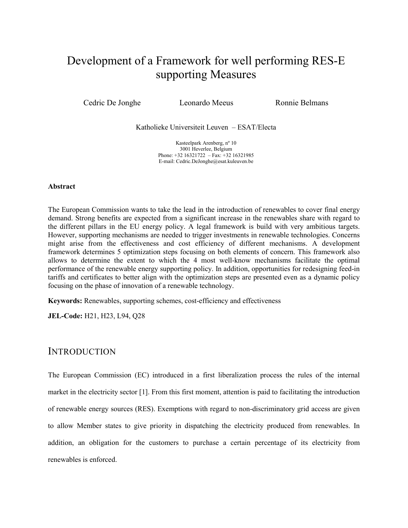# Development of a Framework for well performing RES-E supporting Measures

Cedric De Jonghe Leonardo Meeus Ronnie Belmans

Katholieke Universiteit Leuven – ESAT/Electa

Kasteelpark Arenberg, nº 10 3001 Heverlee, Belgium Phone: +32 16321722 – Fax: +32 16321985 E-mail: Cedric.DeJonghe@esat.kuleuven.be

#### Abstract

The European Commission wants to take the lead in the introduction of renewables to cover final energy demand. Strong benefits are expected from a significant increase in the renewables share with regard to the different pillars in the EU energy policy. A legal framework is build with very ambitious targets. However, supporting mechanisms are needed to trigger investments in renewable technologies. Concerns might arise from the effectiveness and cost efficiency of different mechanisms. A development framework determines 5 optimization steps focusing on both elements of concern. This framework also allows to determine the extent to which the 4 most well-know mechanisms facilitate the optimal performance of the renewable energy supporting policy. In addition, opportunities for redesigning feed-in tariffs and certificates to better align with the optimization steps are presented even as a dynamic policy focusing on the phase of innovation of a renewable technology.

Keywords: Renewables, supporting schemes, cost-efficiency and effectiveness

JEL-Code: H21, H23, L94, Q28

## **INTRODUCTION**

The European Commission (EC) introduced in a first liberalization process the rules of the internal market in the electricity sector [1]. From this first moment, attention is paid to facilitating the introduction of renewable energy sources (RES). Exemptions with regard to non-discriminatory grid access are given to allow Member states to give priority in dispatching the electricity produced from renewables. In addition, an obligation for the customers to purchase a certain percentage of its electricity from renewables is enforced.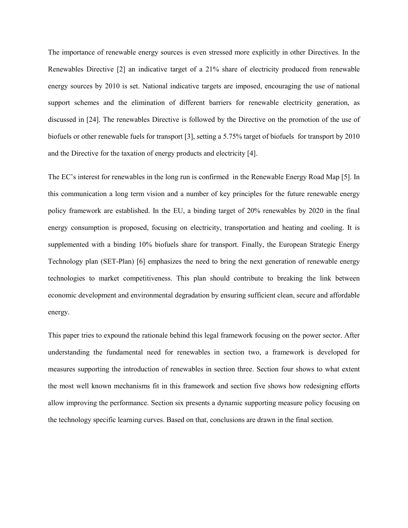The importance of renewable energy sources is even stressed more explicitly in other Directives. In the Renewables Directive [2] an indicative target of a 21% share of electricity produced from renewable energy sources by 2010 is set. National indicative targets are imposed, encouraging the use of national support schemes and the elimination of different barriers for renewable electricity generation, as discussed in [24]. The renewables Directive is followed by the Directive on the promotion of the use of biofuels or other renewable fuels for transport [3], setting a 5.75% target of biofuels for transport by 2010 and the Directive for the taxation of energy products and electricity [4].

The EC's interest for renewables in the long run is confirmed in the Renewable Energy Road Map [5]. In this communication a long term vision and a number of key principles for the future renewable energy policy framework are established. In the EU, a binding target of 20% renewables by 2020 in the final energy consumption is proposed, focusing on electricity, transportation and heating and cooling. It is supplemented with a binding 10% biofuels share for transport. Finally, the European Strategic Energy Technology plan (SET-Plan) [6] emphasizes the need to bring the next generation of renewable energy technologies to market competitiveness. This plan should contribute to breaking the link between economic development and environmental degradation by ensuring sufficient clean, secure and affordable energy.

This paper tries to expound the rationale behind this legal framework focusing on the power sector. After understanding the fundamental need for renewables in section two, a framework is developed for measures supporting the introduction of renewables in section three. Section four shows to what extent the most well known mechanisms fit in this framework and section five shows how redesigning efforts allow improving the performance. Section six presents a dynamic supporting measure policy focusing on the technology specific learning curves. Based on that, conclusions are drawn in the final section.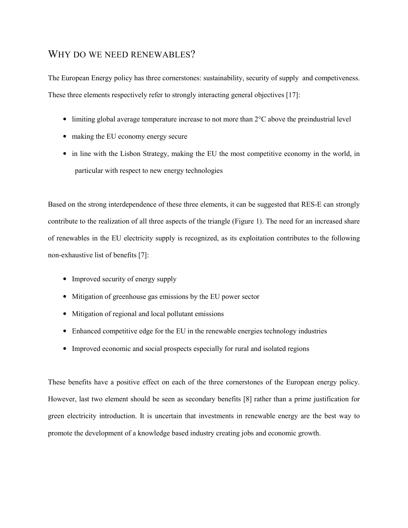# WHY DO WE NEED RENEWABLES?

The European Energy policy has three cornerstones: sustainability, security of supply and competiveness. These three elements respectively refer to strongly interacting general objectives [17]:

- limiting global average temperature increase to not more than  $2^{\circ}C$  above the preindustrial level
- making the EU economy energy secure
- in line with the Lisbon Strategy, making the EU the most competitive economy in the world, in particular with respect to new energy technologies

Based on the strong interdependence of these three elements, it can be suggested that RES-E can strongly contribute to the realization of all three aspects of the triangle (Figure 1). The need for an increased share of renewables in the EU electricity supply is recognized, as its exploitation contributes to the following non-exhaustive list of benefits [7]:

- Improved security of energy supply
- Mitigation of greenhouse gas emissions by the EU power sector
- Mitigation of regional and local pollutant emissions
- Enhanced competitive edge for the EU in the renewable energies technology industries
- Improved economic and social prospects especially for rural and isolated regions

These benefits have a positive effect on each of the three cornerstones of the European energy policy. However, last two element should be seen as secondary benefits [8] rather than a prime justification for green electricity introduction. It is uncertain that investments in renewable energy are the best way to promote the development of a knowledge based industry creating jobs and economic growth.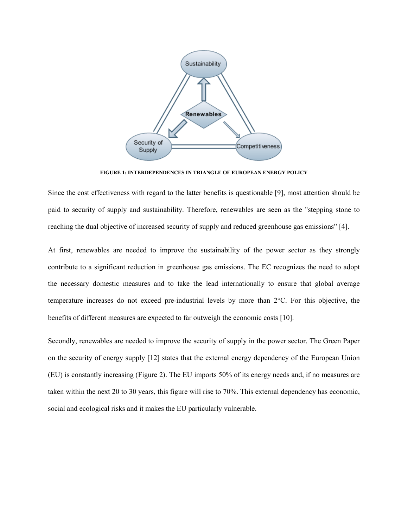

FIGURE 1: INTERDEPENDENCES IN TRIANGLE OF EUROPEAN ENERGY POLICY

Since the cost effectiveness with regard to the latter benefits is questionable [9], most attention should be paid to security of supply and sustainability. Therefore, renewables are seen as the "stepping stone to reaching the dual objective of increased security of supply and reduced greenhouse gas emissions" [4].

At first, renewables are needed to improve the sustainability of the power sector as they strongly contribute to a significant reduction in greenhouse gas emissions. The EC recognizes the need to adopt the necessary domestic measures and to take the lead internationally to ensure that global average temperature increases do not exceed pre-industrial levels by more than 2°C. For this objective, the benefits of different measures are expected to far outweigh the economic costs [10].

Secondly, renewables are needed to improve the security of supply in the power sector. The Green Paper on the security of energy supply [12] states that the external energy dependency of the European Union (EU) is constantly increasing (Figure 2). The EU imports 50% of its energy needs and, if no measures are taken within the next 20 to 30 years, this figure will rise to 70%. This external dependency has economic, social and ecological risks and it makes the EU particularly vulnerable.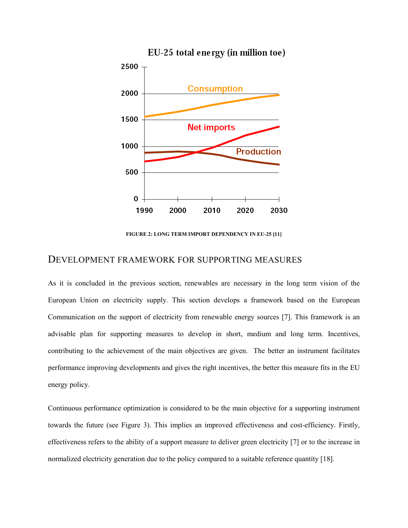

FIGURE 2: LONG TERM IMPORT DEPENDENCY IN EU-25 [11]

#### DEVELOPMENT FRAMEWORK FOR SUPPORTING MEASURES

As it is concluded in the previous section, renewables are necessary in the long term vision of the European Union on electricity supply. This section develops a framework based on the European Communication on the support of electricity from renewable energy sources [7]. This framework is an advisable plan for supporting measures to develop in short, medium and long term. Incentives, contributing to the achievement of the main objectives are given. The better an instrument facilitates performance improving developments and gives the right incentives, the better this measure fits in the EU energy policy.

Continuous performance optimization is considered to be the main objective for a supporting instrument towards the future (see Figure 3). This implies an improved effectiveness and cost-efficiency. Firstly, effectiveness refers to the ability of a support measure to deliver green electricity [7] or to the increase in normalized electricity generation due to the policy compared to a suitable reference quantity [18].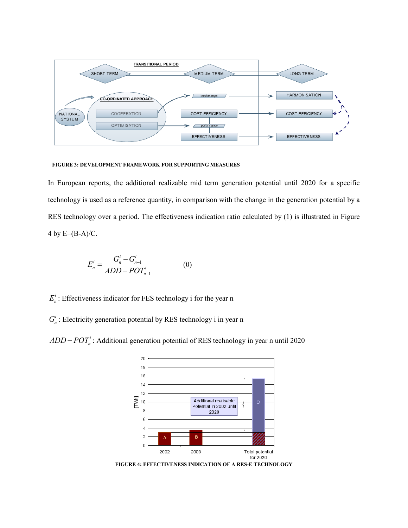

#### FIGURE 3: DEVELOPMENT FRAMEWORK FOR SUPPORTING MEASURES

In European reports, the additional realizable mid term generation potential until 2020 for a specific technology is used as a reference quantity, in comparison with the change in the generation potential by a RES technology over a period. The effectiveness indication ratio calculated by (1) is illustrated in Figure 4 by  $E=(B-A)/C$ .

$$
E_n^i = \frac{G_n^i - G_{n-1}^i}{ADD - POT_{n-1}^i}
$$
 (0)

 $E_n^i$ : Effectiveness indicator for FES technology i for the year n

 $G_n^i$ : Electricity generation potential by RES technology i in year n

 $ADD - POT<sub>n</sub><sup>i</sup>$ : Additional generation potential of RES technology in year n until 2020



FIGURE 4: EFFECTIVENESS INDICATION OF A RES-E TECHNOLOGY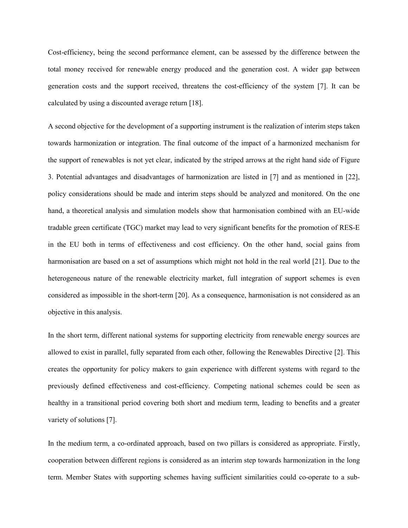Cost-efficiency, being the second performance element, can be assessed by the difference between the total money received for renewable energy produced and the generation cost. A wider gap between generation costs and the support received, threatens the cost-efficiency of the system [7]. It can be calculated by using a discounted average return [18].

A second objective for the development of a supporting instrument is the realization of interim steps taken towards harmonization or integration. The final outcome of the impact of a harmonized mechanism for the support of renewables is not yet clear, indicated by the striped arrows at the right hand side of Figure 3. Potential advantages and disadvantages of harmonization are listed in [7] and as mentioned in [22], policy considerations should be made and interim steps should be analyzed and monitored. On the one hand, a theoretical analysis and simulation models show that harmonisation combined with an EU-wide tradable green certificate (TGC) market may lead to very significant benefits for the promotion of RES-E in the EU both in terms of effectiveness and cost efficiency. On the other hand, social gains from harmonisation are based on a set of assumptions which might not hold in the real world [21]. Due to the heterogeneous nature of the renewable electricity market, full integration of support schemes is even considered as impossible in the short-term [20]. As a consequence, harmonisation is not considered as an objective in this analysis.

In the short term, different national systems for supporting electricity from renewable energy sources are allowed to exist in parallel, fully separated from each other, following the Renewables Directive [2]. This creates the opportunity for policy makers to gain experience with different systems with regard to the previously defined effectiveness and cost-efficiency. Competing national schemes could be seen as healthy in a transitional period covering both short and medium term, leading to benefits and a greater variety of solutions [7].

In the medium term, a co-ordinated approach, based on two pillars is considered as appropriate. Firstly, cooperation between different regions is considered as an interim step towards harmonization in the long term. Member States with supporting schemes having sufficient similarities could co-operate to a sub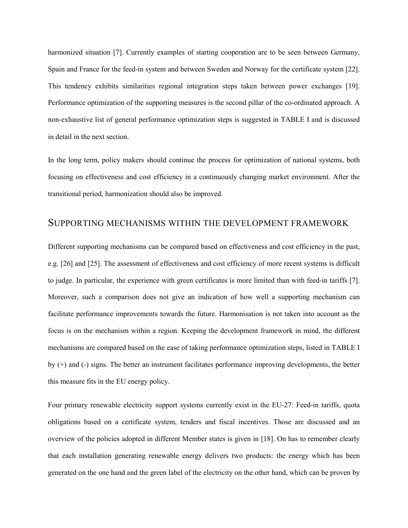harmonized situation [7]. Currently examples of starting cooperation are to be seen between Germany, Spain and France for the feed-in system and between Sweden and Norway for the certificate system [22]. This tendency exhibits similarities regional integration steps taken between power exchanges [19]. Performance optimization of the supporting measures is the second pillar of the co-ordinated approach. A non-exhaustive list of general performance optimization steps is suggested in TABLE I and is discussed in detail in the next section.

In the long term, policy makers should continue the process for optimization of national systems, both focusing on effectiveness and cost efficiency in a continuously changing market environment. After the transitional period, harmonization should also be improved.

### SUPPORTING MECHANISMS WITHIN THE DEVELOPMENT FRAMEWORK

Different supporting mechanisms can be compared based on effectiveness and cost efficiency in the past, e.g. [26] and [25]. The assessment of effectiveness and cost efficiency of more recent systems is difficult to judge. In particular, the experience with green certificates is more limited than with feed-in tariffs [7]. Moreover, such a comparison does not give an indication of how well a supporting mechanism can facilitate performance improvements towards the future. Harmonisation is not taken into account as the focus is on the mechanism within a region. Keeping the development framework in mind, the different mechanisms are compared based on the ease of taking performance optimization steps, listed in TABLE I by (+) and (-) signs. The better an instrument facilitates performance improving developments, the better this measure fits in the EU energy policy.

Four primary renewable electricity support systems currently exist in the EU-27: Feed-in tariffs, quota obligations based on a certificate system, tenders and fiscal incentives. Those are discussed and an overview of the policies adopted in different Member states is given in [18]. On has to remember clearly that each installation generating renewable energy delivers two products: the energy which has been generated on the one hand and the green label of the electricity on the other hand, which can be proven by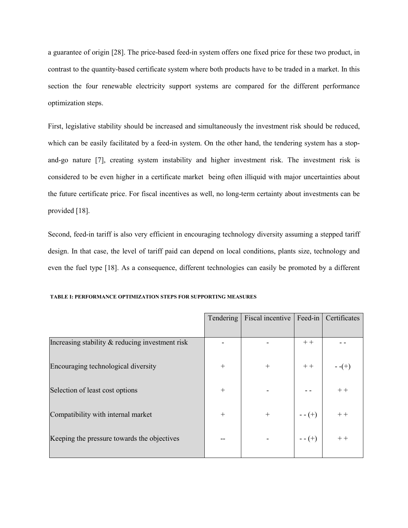a guarantee of origin [28]. The price-based feed-in system offers one fixed price for these two product, in contrast to the quantity-based certificate system where both products have to be traded in a market. In this section the four renewable electricity support systems are compared for the different performance optimization steps.

First, legislative stability should be increased and simultaneously the investment risk should be reduced, which can be easily facilitated by a feed-in system. On the other hand, the tendering system has a stopand-go nature [7], creating system instability and higher investment risk. The investment risk is considered to be even higher in a certificate market being often illiquid with major uncertainties about the future certificate price. For fiscal incentives as well, no long-term certainty about investments can be provided [18].

Second, feed-in tariff is also very efficient in encouraging technology diversity assuming a stepped tariff design. In that case, the level of tariff paid can depend on local conditions, plants size, technology and even the fuel type [18]. As a consequence, different technologies can easily be promoted by a different

|                                                 | Tendering | Fiscal incentive | Feed-in   | Certificates |
|-------------------------------------------------|-----------|------------------|-----------|--------------|
|                                                 |           |                  |           |              |
| Increasing stability & reducing investment risk |           |                  | $++$      |              |
|                                                 |           |                  |           |              |
| Encouraging technological diversity             | $+$       | $^{+}$           | $++$      | $-(-+)$      |
|                                                 |           |                  |           |              |
| Selection of least cost options                 | $+$       |                  |           | $++$         |
|                                                 |           |                  |           |              |
| Compatibility with internal market              | $+$       | $^{+}$           | $- - (+)$ | $++$         |
|                                                 |           |                  |           |              |
| Keeping the pressure towards the objectives     |           |                  | $- - (+)$ | $++$         |
|                                                 |           |                  |           |              |

TABLE I: PERFORMANCE OPTIMIZATION STEPS FOR SUPPORTING MEASURES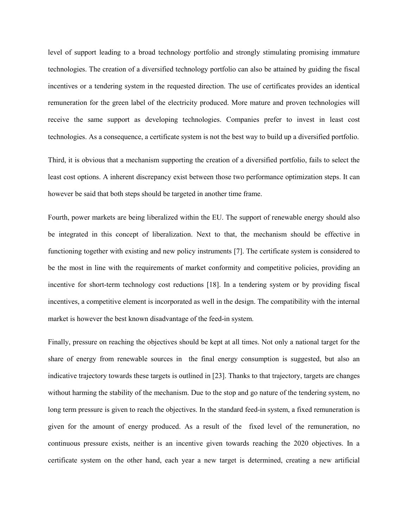level of support leading to a broad technology portfolio and strongly stimulating promising immature technologies. The creation of a diversified technology portfolio can also be attained by guiding the fiscal incentives or a tendering system in the requested direction. The use of certificates provides an identical remuneration for the green label of the electricity produced. More mature and proven technologies will receive the same support as developing technologies. Companies prefer to invest in least cost technologies. As a consequence, a certificate system is not the best way to build up a diversified portfolio.

Third, it is obvious that a mechanism supporting the creation of a diversified portfolio, fails to select the least cost options. A inherent discrepancy exist between those two performance optimization steps. It can however be said that both steps should be targeted in another time frame.

Fourth, power markets are being liberalized within the EU. The support of renewable energy should also be integrated in this concept of liberalization. Next to that, the mechanism should be effective in functioning together with existing and new policy instruments [7]. The certificate system is considered to be the most in line with the requirements of market conformity and competitive policies, providing an incentive for short-term technology cost reductions [18]. In a tendering system or by providing fiscal incentives, a competitive element is incorporated as well in the design. The compatibility with the internal market is however the best known disadvantage of the feed-in system.

Finally, pressure on reaching the objectives should be kept at all times. Not only a national target for the share of energy from renewable sources in the final energy consumption is suggested, but also an indicative trajectory towards these targets is outlined in [23]. Thanks to that trajectory, targets are changes without harming the stability of the mechanism. Due to the stop and go nature of the tendering system, no long term pressure is given to reach the objectives. In the standard feed-in system, a fixed remuneration is given for the amount of energy produced. As a result of the fixed level of the remuneration, no continuous pressure exists, neither is an incentive given towards reaching the 2020 objectives. In a certificate system on the other hand, each year a new target is determined, creating a new artificial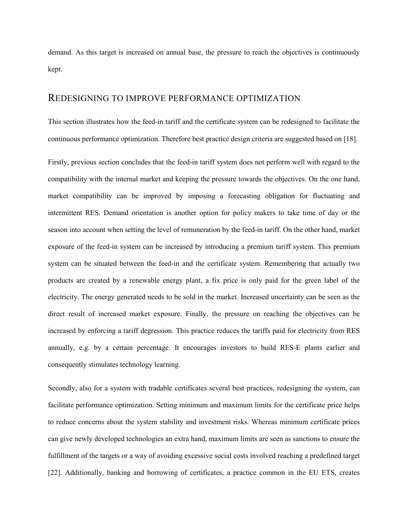demand. As this target is increased on annual base, the pressure to reach the objectives is continuously kept.

### REDESIGNING TO IMPROVE PERFORMANCE OPTIMIZATION

This section illustrates how the feed-in tariff and the certificate system can be redesigned to facilitate the continuous performance optimization. Therefore best practice design criteria are suggested based on [18].

Firstly, previous section concludes that the feed-in tariff system does not perform well with regard to the compatibility with the internal market and keeping the pressure towards the objectives. On the one hand, market compatibility can be improved by imposing a forecasting obligation for fluctuating and intermittent RES. Demand orientation is another option for policy makers to take time of day or the season into account when setting the level of remuneration by the feed-in tariff. On the other hand, market exposure of the feed-in system can be increased by introducing a premium tariff system. This premium system can be situated between the feed-in and the certificate system. Remembering that actually two products are created by a renewable energy plant, a fix price is only paid for the green label of the electricity. The energy generated needs to be sold in the market. Increased uncertainty can be seen as the direct result of increased market exposure. Finally, the pressure on reaching the objectives can be increased by enforcing a tariff degression. This practice reduces the tariffs paid for electricity from RES annually, e.g. by a certain percentage. It encourages investors to build RES-E plants earlier and consequently stimulates technology learning.

Secondly, also for a system with tradable certificates several best practices, redesigning the system, can facilitate performance optimization. Setting minimum and maximum limits for the certificate price helps to reduce concerns about the system stability and investment risks. Whereas minimum certificate prices can give newly developed technologies an extra hand, maximum limits are seen as sanctions to ensure the fulfillment of the targets or a way of avoiding excessive social costs involved reaching a predefined target [22]. Additionally, banking and borrowing of certificates, a practice common in the EU ETS, creates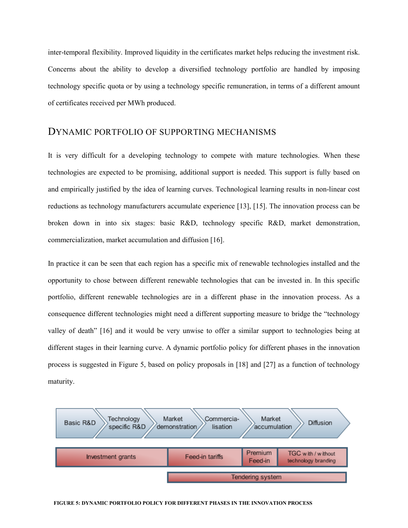inter-temporal flexibility. Improved liquidity in the certificates market helps reducing the investment risk. Concerns about the ability to develop a diversified technology portfolio are handled by imposing technology specific quota or by using a technology specific remuneration, in terms of a different amount of certificates received per MWh produced.

## DYNAMIC PORTFOLIO OF SUPPORTING MECHANISMS

It is very difficult for a developing technology to compete with mature technologies. When these technologies are expected to be promising, additional support is needed. This support is fully based on and empirically justified by the idea of learning curves. Technological learning results in non-linear cost reductions as technology manufacturers accumulate experience [13], [15]. The innovation process can be broken down in into six stages: basic R&D, technology specific R&D, market demonstration, commercialization, market accumulation and diffusion [16].

In practice it can be seen that each region has a specific mix of renewable technologies installed and the opportunity to chose between different renewable technologies that can be invested in. In this specific portfolio, different renewable technologies are in a different phase in the innovation process. As a consequence different technologies might need a different supporting measure to bridge the "technology valley of death" [16] and it would be very unwise to offer a similar support to technologies being at different stages in their learning curve. A dynamic portfolio policy for different phases in the innovation process is suggested in Figure 5, based on policy proposals in [18] and [27] as a function of technology maturity.

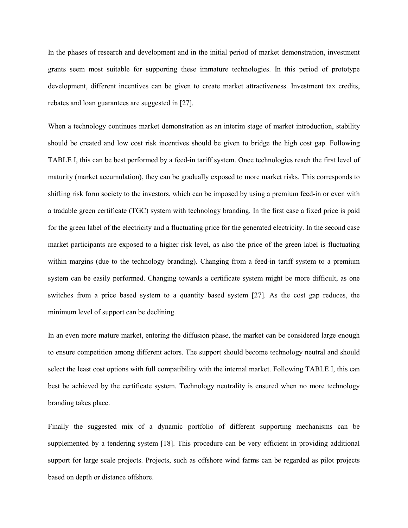In the phases of research and development and in the initial period of market demonstration, investment grants seem most suitable for supporting these immature technologies. In this period of prototype development, different incentives can be given to create market attractiveness. Investment tax credits, rebates and loan guarantees are suggested in [27].

When a technology continues market demonstration as an interim stage of market introduction, stability should be created and low cost risk incentives should be given to bridge the high cost gap. Following TABLE I, this can be best performed by a feed-in tariff system. Once technologies reach the first level of maturity (market accumulation), they can be gradually exposed to more market risks. This corresponds to shifting risk form society to the investors, which can be imposed by using a premium feed-in or even with a tradable green certificate (TGC) system with technology branding. In the first case a fixed price is paid for the green label of the electricity and a fluctuating price for the generated electricity. In the second case market participants are exposed to a higher risk level, as also the price of the green label is fluctuating within margins (due to the technology branding). Changing from a feed-in tariff system to a premium system can be easily performed. Changing towards a certificate system might be more difficult, as one switches from a price based system to a quantity based system [27]. As the cost gap reduces, the minimum level of support can be declining.

In an even more mature market, entering the diffusion phase, the market can be considered large enough to ensure competition among different actors. The support should become technology neutral and should select the least cost options with full compatibility with the internal market. Following TABLE I, this can best be achieved by the certificate system. Technology neutrality is ensured when no more technology branding takes place.

Finally the suggested mix of a dynamic portfolio of different supporting mechanisms can be supplemented by a tendering system [18]. This procedure can be very efficient in providing additional support for large scale projects. Projects, such as offshore wind farms can be regarded as pilot projects based on depth or distance offshore.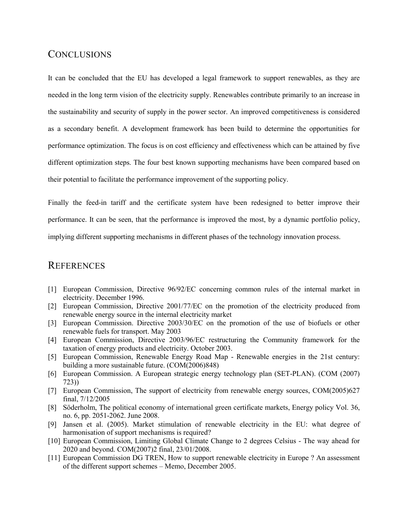# **CONCLUSIONS**

It can be concluded that the EU has developed a legal framework to support renewables, as they are needed in the long term vision of the electricity supply. Renewables contribute primarily to an increase in the sustainability and security of supply in the power sector. An improved competitiveness is considered as a secondary benefit. A development framework has been build to determine the opportunities for performance optimization. The focus is on cost efficiency and effectiveness which can be attained by five different optimization steps. The four best known supporting mechanisms have been compared based on their potential to facilitate the performance improvement of the supporting policy.

Finally the feed-in tariff and the certificate system have been redesigned to better improve their performance. It can be seen, that the performance is improved the most, by a dynamic portfolio policy, implying different supporting mechanisms in different phases of the technology innovation process.

## **REFERENCES**

- [1] European Commission, Directive 96/92/EC concerning common rules of the internal market in electricity. December 1996.
- [2] European Commission, Directive 2001/77/EC on the promotion of the electricity produced from renewable energy source in the internal electricity market
- [3] European Commission. Directive 2003/30/EC on the promotion of the use of biofuels or other renewable fuels for transport. May 2003
- [4] European Commission, Directive 2003/96/EC restructuring the Community framework for the taxation of energy products and electricity. October 2003.
- [5] European Commission, Renewable Energy Road Map Renewable energies in the 21st century: building a more sustainable future. (COM(2006)848)
- [6] European Commission. A European strategic energy technology plan (SET-PLAN). (COM (2007) 723))
- [7] European Commission, The support of electricity from renewable energy sources, COM(2005)627 final, 7/12/2005
- [8] Söderholm, The political economy of international green certificate markets, Energy policy Vol. 36, no. 6, pp. 2051-2062. June 2008.
- [9] Jansen et al. (2005). Market stimulation of renewable electricity in the EU: what degree of harmonisation of support mechanisms is required?
- [10] European Commission, Limiting Global Climate Change to 2 degrees Celsius The way ahead for 2020 and beyond. COM(2007)2 final, 23/01/2008.
- [11] European Commission DG TREN, How to support renewable electricity in Europe ? An assessment of the different support schemes – Memo, December 2005.